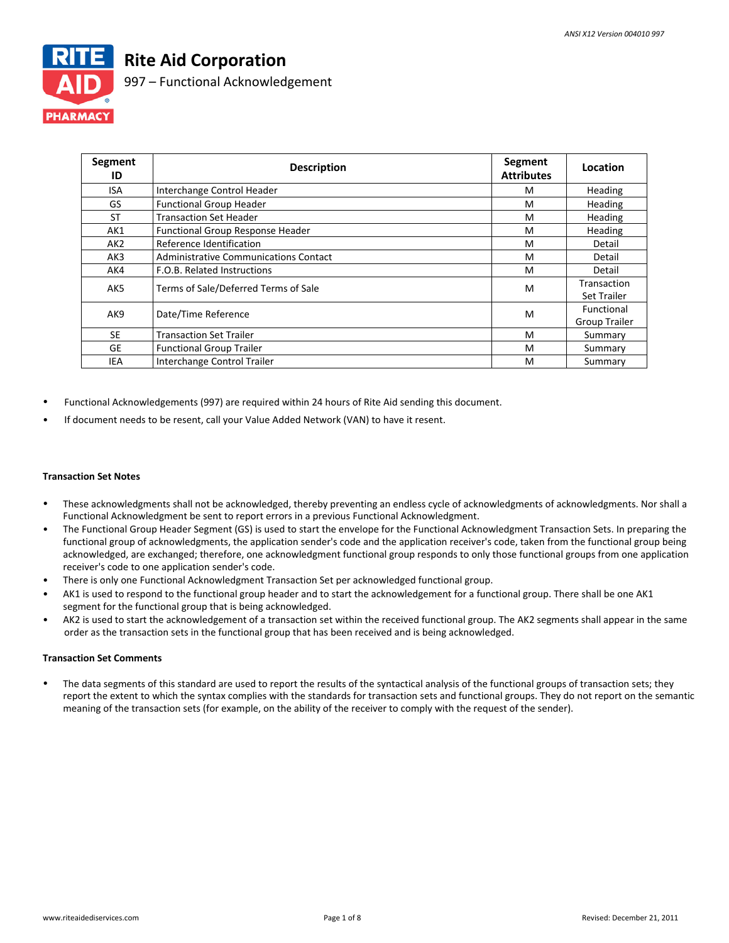

# **Rite Aid Corporation**

997 – Functional Acknowledgement

| Segment<br>ID | <b>Description</b>                      | Segment<br><b>Attributes</b> | Location                                  |
|---------------|-----------------------------------------|------------------------------|-------------------------------------------|
| ISA           | Interchange Control Header              | м                            | <b>Heading</b>                            |
| GS            | <b>Functional Group Header</b>          | M                            | Heading                                   |
| <b>ST</b>     | <b>Transaction Set Header</b>           | M                            | Heading                                   |
| AK1           | <b>Functional Group Response Header</b> | M                            | Heading                                   |
| AK2           | Reference Identification                | M                            | Detail                                    |
| AK3           | Administrative Communications Contact   | M                            | Detail                                    |
| AK4           | F.O.B. Related Instructions             | M                            | Detail                                    |
| AK5           | Terms of Sale/Deferred Terms of Sale    | M                            | Transaction<br><b>Set Trailer</b>         |
| AK9           | Date/Time Reference                     | M                            | <b>Functional</b><br><b>Group Trailer</b> |
| <b>SE</b>     | <b>Transaction Set Trailer</b>          | M                            | Summary                                   |
| <b>GE</b>     | <b>Functional Group Trailer</b>         | M                            | Summary                                   |
| IEA           | Interchange Control Trailer             | M                            | Summary                                   |

- Functional Acknowledgements (997) are required within 24 hours of Rite Aid sending this document.
- If document needs to be resent, call your Value Added Network (VAN) to have it resent.

### **Transaction Set Notes**

- These acknowledgments shall not be acknowledged, thereby preventing an endless cycle of acknowledgments of acknowledgments. Nor shall a Functional Acknowledgment be sent to report errors in a previous Functional Acknowledgment.
- The Functional Group Header Segment (GS) is used to start the envelope for the Functional Acknowledgment Transaction Sets. In preparing the functional group of acknowledgments, the application sender's code and the application receiver's code, taken from the functional group being acknowledged, are exchanged; therefore, one acknowledgment functional group responds to only those functional groups from one application receiver's code to one application sender's code.
- There is only one Functional Acknowledgment Transaction Set per acknowledged functional group.
- AK1 is used to respond to the functional group header and to start the acknowledgement for a functional group. There shall be one AK1 segment for the functional group that is being acknowledged.
- AK2 is used to start the acknowledgement of a transaction set within the received functional group. The AK2 segments shall appear in the same order as the transaction sets in the functional group that has been received and is being acknowledged.

### **Transaction Set Comments**

• The data segments of this standard are used to report the results of the syntactical analysis of the functional groups of transaction sets; they report the extent to which the syntax complies with the standards for transaction sets and functional groups. They do not report on the semantic meaning of the transaction sets (for example, on the ability of the receiver to comply with the request of the sender).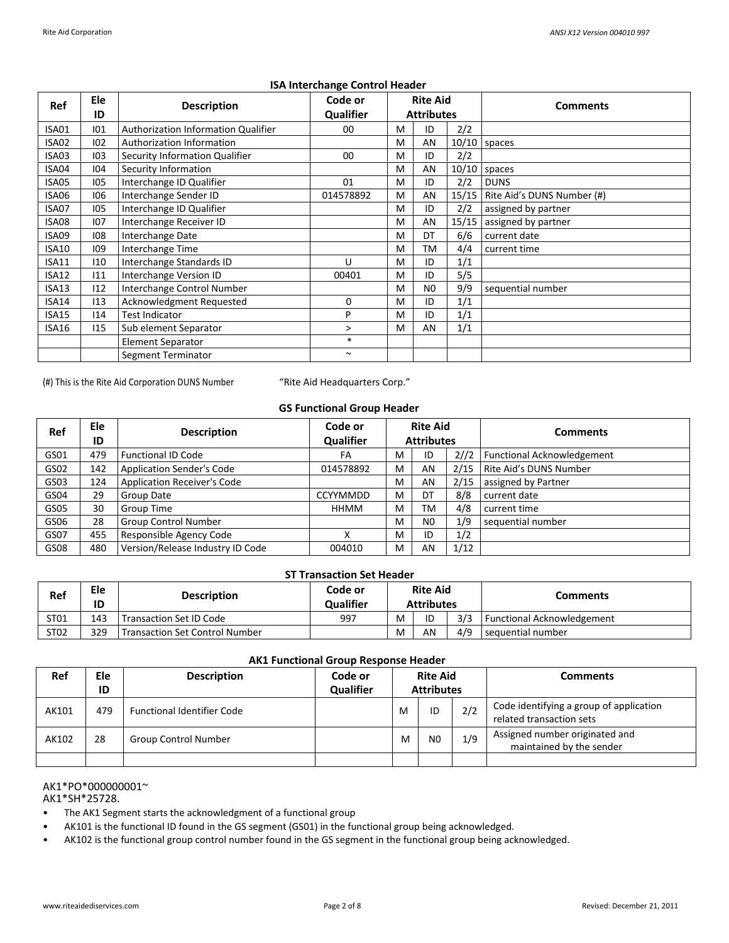| Ref          | Ele | <b>Description</b>                  | Code or               |   | <b>Rite Aid</b>   |       | <b>Comments</b>            |  |
|--------------|-----|-------------------------------------|-----------------------|---|-------------------|-------|----------------------------|--|
|              | ID  |                                     | <b>Qualifier</b>      |   | <b>Attributes</b> |       |                            |  |
| ISA01        | 101 | Authorization Information Qualifier | 00                    | M | ID                | 2/2   |                            |  |
| ISA02        | 102 | Authorization Information           |                       | M | AN                |       | $10/10$ spaces             |  |
| <b>ISA03</b> | 103 | Security Information Qualifier      | 00                    | M | ID                | 2/2   |                            |  |
| ISA04        | 104 | Security Information                |                       | M | AN                | 10/10 | spaces                     |  |
| ISA05        | 105 | Interchange ID Qualifier            | 01                    | M | ID                | 2/2   | <b>DUNS</b>                |  |
| ISA06        | 106 | Interchange Sender ID               | 014578892             | M | AN                | 15/15 | Rite Aid's DUNS Number (#) |  |
| ISA07        | 105 | Interchange ID Qualifier            |                       | M | ID                | 2/2   | assigned by partner        |  |
| ISA08        | 107 | Interchange Receiver ID             |                       | M | AN                | 15/15 | assigned by partner        |  |
| ISA09        | 108 | Interchange Date                    |                       | M | DT                | 6/6   | current date               |  |
| <b>ISA10</b> | 109 | Interchange Time                    |                       | M | ТM                | 4/4   | current time               |  |
| ISA11        | 110 | Interchange Standards ID            | U                     | м | ID                | 1/1   |                            |  |
| <b>ISA12</b> | 111 | Interchange Version ID              | 00401                 | M | ID                | 5/5   |                            |  |
| <b>ISA13</b> | 112 | Interchange Control Number          |                       | M | N <sub>0</sub>    | 9/9   | sequential number          |  |
| ISA14        | 113 | Acknowledgment Requested            | 0                     | M | ID                | 1/1   |                            |  |
| ISA15        | 114 | <b>Test Indicator</b>               | P                     | M | ID                | 1/1   |                            |  |
| ISA16        | 115 | Sub element Separator               | >                     | M | AN                | 1/1   |                            |  |
|              |     | <b>Element Separator</b>            | $\ast$                |   |                   |       |                            |  |
|              |     | Segment Terminator                  | $\tilde{\phantom{a}}$ |   |                   |       |                            |  |
|              |     |                                     |                       |   |                   |       |                            |  |

### **ISA Interchange Control Header**

(#) This is the Rite Aid Corporation DUNS Number

"Rite Aid Headquarters Corp."

## **GS Functional Group Header**

| Ref  | Ele<br>ID | <b>Description</b>                 | Code or<br>Qualifier |   | <b>Rite Aid</b><br><b>Attributes</b> |      | <b>Comments</b>            |
|------|-----------|------------------------------------|----------------------|---|--------------------------------------|------|----------------------------|
| GS01 | 479       | <b>Functional ID Code</b>          | FA                   | M | ID                                   | 2//2 | Functional Acknowledgement |
| GS02 | 142       | <b>Application Sender's Code</b>   | 014578892            | M | AN                                   | 2/15 | Rite Aid's DUNS Number     |
| GS03 | 124       | <b>Application Receiver's Code</b> |                      | M | AN                                   | 2/15 | assigned by Partner        |
| GS04 | 29        | Group Date                         | <b>CCYYMMDD</b>      | M | DT                                   | 8/8  | current date               |
| GS05 | 30        | Group Time                         | <b>HHMM</b>          | M | TM                                   | 4/8  | current time               |
| GS06 | 28        | <b>Group Control Number</b>        |                      | м | N <sub>0</sub>                       | 1/9  | sequential number          |
| GS07 | 455       | Responsible Agency Code            |                      | M | ID                                   | 1/2  |                            |
| GS08 | 480       | Version/Release Industry ID Code   | 004010               | M | AN                                   | 1/12 |                            |

#### **ST Transaction Set Header**

| Ref  | Ele<br>ID | <b>Description</b>                    | Code or<br><b>Qualifier</b> | <b>Rite Aid</b><br><b>Attributes</b> |    |     | Comments                          |
|------|-----------|---------------------------------------|-----------------------------|--------------------------------------|----|-----|-----------------------------------|
| ST01 | 143       | Transaction Set ID Code               | 997                         | M                                    | ID | 3/3 | <b>Functional Acknowledgement</b> |
| ST02 | 329       | <b>Transaction Set Control Number</b> |                             | M                                    | AN | 4/9 | sequential number                 |

## **AK1 Functional Group Response Header**

| Ref   | Ele<br>ID | <b>Description</b>                | Code or<br><b>Qualifier</b> | <b>Rite Aid</b><br><b>Attributes</b> |                |     | <b>Comments</b>                                                     |
|-------|-----------|-----------------------------------|-----------------------------|--------------------------------------|----------------|-----|---------------------------------------------------------------------|
| AK101 | 479       | <b>Functional Identifier Code</b> |                             | M                                    | ID             | 2/2 | Code identifying a group of application<br>related transaction sets |
| AK102 | 28        | <b>Group Control Number</b>       |                             | M                                    | N <sub>0</sub> | 1/9 | Assigned number originated and<br>maintained by the sender          |
|       |           |                                   |                             |                                      |                |     |                                                                     |

#### AK1\*PO\*000000001~ AK1\*SH\*25728.

- The AK1 Segment starts the acknowledgment of a functional group
- AK101 is the functional ID found in the GS segment (GS01) in the functional group being acknowledged.
- AK102 is the functional group control number found in the GS segment in the functional group being acknowledged.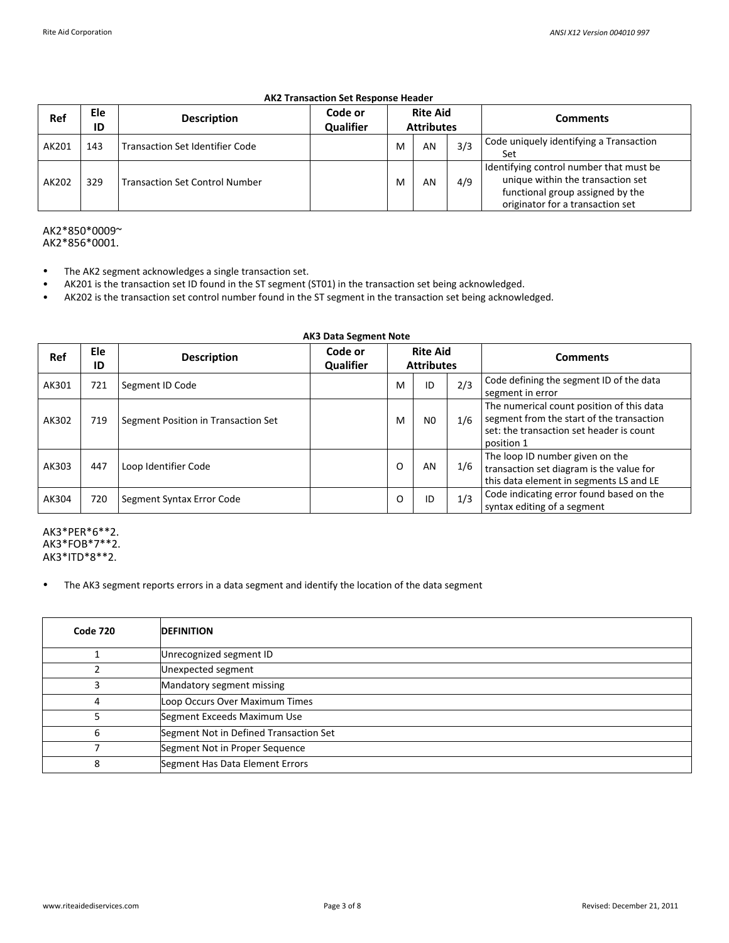# **AK2 Transaction Set Response Header**

| Ref   | Ele<br>ID | <b>Description</b>                     | Code or<br><b>Qualifier</b> |   | <b>Rite Aid</b><br><b>Attributes</b> |     | <b>Comments</b>                                                                                                                                      |
|-------|-----------|----------------------------------------|-----------------------------|---|--------------------------------------|-----|------------------------------------------------------------------------------------------------------------------------------------------------------|
| AK201 | 143       | <b>Transaction Set Identifier Code</b> |                             | M | AN                                   | 3/3 | Code uniquely identifying a Transaction<br>Set                                                                                                       |
| AK202 | 329       | <b>Transaction Set Control Number</b>  |                             | M | AN                                   | 4/9 | Identifying control number that must be<br>unique within the transaction set<br>functional group assigned by the<br>originator for a transaction set |

## AK2\*850\*0009~ AK2\*856\*0001.

- The AK2 segment acknowledges a single transaction set.
- AK201 is the transaction set ID found in the ST segment (ST01) in the transaction set being acknowledged.
- AK202 is the transaction set control number found in the ST segment in the transaction set being acknowledged.

|       | <b>AK3 Data Segment Note</b> |                                     |                             |                                      |                |     |                                                                                                                                                  |  |  |
|-------|------------------------------|-------------------------------------|-----------------------------|--------------------------------------|----------------|-----|--------------------------------------------------------------------------------------------------------------------------------------------------|--|--|
| Ref   | Ele<br>ID                    | <b>Description</b>                  | Code or<br><b>Qualifier</b> | <b>Rite Aid</b><br><b>Attributes</b> |                |     | <b>Comments</b>                                                                                                                                  |  |  |
| AK301 | 721                          | Segment ID Code                     |                             | M                                    | ID             | 2/3 | Code defining the segment ID of the data<br>segment in error                                                                                     |  |  |
| AK302 | 719                          | Segment Position in Transaction Set |                             | M                                    | N <sub>0</sub> | 1/6 | The numerical count position of this data<br>segment from the start of the transaction<br>set: the transaction set header is count<br>position 1 |  |  |
| AK303 | 447                          | Loop Identifier Code                |                             | O                                    | AN             | 1/6 | The loop ID number given on the<br>transaction set diagram is the value for<br>this data element in segments LS and LE                           |  |  |
| AK304 | 720                          | Segment Syntax Error Code           |                             | O                                    | ID             | 1/3 | Code indicating error found based on the<br>syntax editing of a segment                                                                          |  |  |

AK3\*PER\*6\*\*2. AK3\*FOB\*7\*\*2. AK3\*ITD\*8\*\*2.

• The AK3 segment reports errors in a data segment and identify the location of the data segment

| <b>Code 720</b> | <b>DEFINITION</b>                      |
|-----------------|----------------------------------------|
|                 | Unrecognized segment ID                |
|                 | Unexpected segment                     |
| 3               | Mandatory segment missing              |
| 4               | Loop Occurs Over Maximum Times         |
|                 | Segment Exceeds Maximum Use            |
| 6               | Segment Not in Defined Transaction Set |
|                 | Segment Not in Proper Sequence         |
| 8               | Segment Has Data Element Errors        |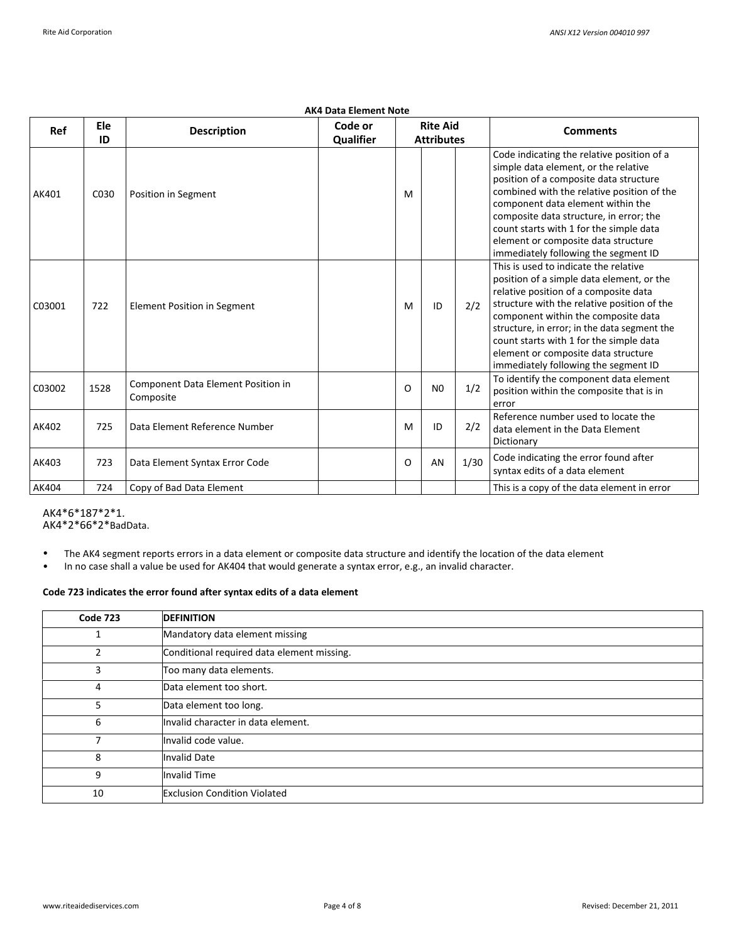|        |           |                                                 | <b>AK4 Data Element Note</b> |          |                                      |      |                                                                                                                                                                                                                                                                                                                                                                                             |
|--------|-----------|-------------------------------------------------|------------------------------|----------|--------------------------------------|------|---------------------------------------------------------------------------------------------------------------------------------------------------------------------------------------------------------------------------------------------------------------------------------------------------------------------------------------------------------------------------------------------|
| Ref    | Ele<br>ID | <b>Description</b>                              | Code or<br>Qualifier         |          | <b>Rite Aid</b><br><b>Attributes</b> |      | <b>Comments</b>                                                                                                                                                                                                                                                                                                                                                                             |
| AK401  | C030      | Position in Segment                             |                              | M        |                                      |      | Code indicating the relative position of a<br>simple data element, or the relative<br>position of a composite data structure<br>combined with the relative position of the<br>component data element within the<br>composite data structure, in error; the<br>count starts with 1 for the simple data<br>element or composite data structure<br>immediately following the segment ID        |
| C03001 | 722       | <b>Element Position in Segment</b>              |                              | M        | ID                                   | 2/2  | This is used to indicate the relative<br>position of a simple data element, or the<br>relative position of a composite data<br>structure with the relative position of the<br>component within the composite data<br>structure, in error; in the data segment the<br>count starts with 1 for the simple data<br>element or composite data structure<br>immediately following the segment ID |
| C03002 | 1528      | Component Data Element Position in<br>Composite |                              | O        | N <sub>0</sub>                       | 1/2  | To identify the component data element<br>position within the composite that is in<br>error                                                                                                                                                                                                                                                                                                 |
| AK402  | 725       | Data Element Reference Number                   |                              | M        | ID                                   | 2/2  | Reference number used to locate the<br>data element in the Data Element<br>Dictionary                                                                                                                                                                                                                                                                                                       |
| AK403  | 723       | Data Element Syntax Error Code                  |                              | $\Omega$ | AN                                   | 1/30 | Code indicating the error found after<br>syntax edits of a data element                                                                                                                                                                                                                                                                                                                     |
| AK404  | 724       | Copy of Bad Data Element                        |                              |          |                                      |      | This is a copy of the data element in error                                                                                                                                                                                                                                                                                                                                                 |

AK4\*6\*187\*2\*1. AK4\*2\*66\*2\*BadData.

• The AK4 segment reports errors in a data element or composite data structure and identify the location of the data element

• In no case shall a value be used for AK404 that would generate a syntax error, e.g., an invalid character.

# **Code 723 indicates the error found after syntax edits of a data element**

| <b>Code 723</b> | <b>DEFINITION</b>                          |
|-----------------|--------------------------------------------|
|                 | Mandatory data element missing             |
| 2               | Conditional required data element missing. |
| 3               | Too many data elements.                    |
| 4               | Data element too short.                    |
| 5.              | Data element too long.                     |
| 6               | Invalid character in data element.         |
|                 | Invalid code value.                        |
| 8               | <b>Invalid Date</b>                        |
| 9               | <b>Invalid Time</b>                        |
| 10              | <b>Exclusion Condition Violated</b>        |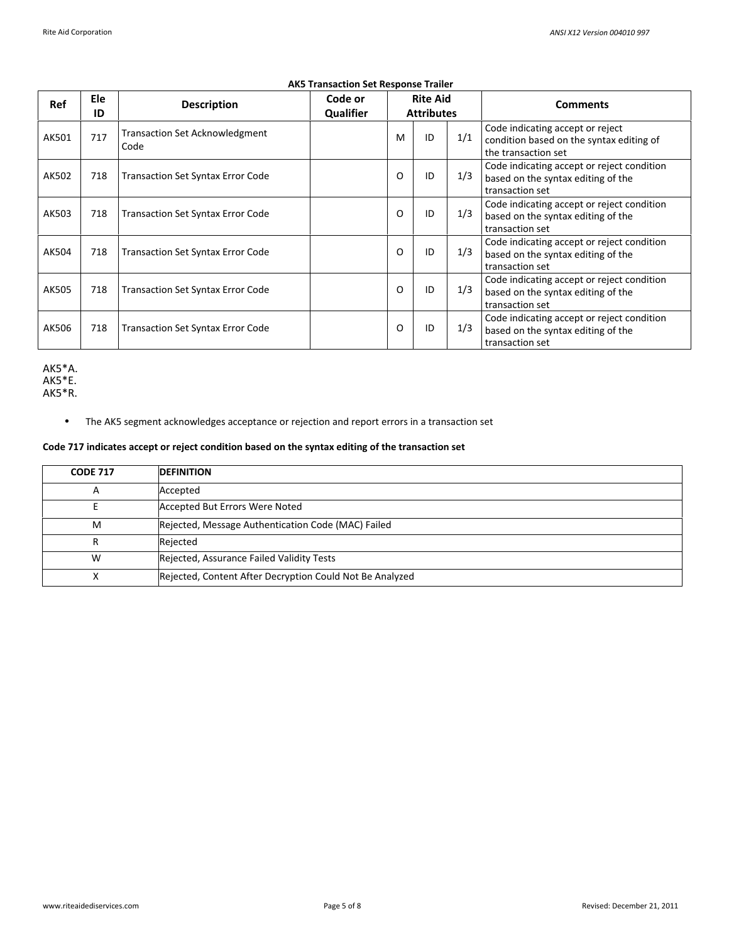| Ref   | Ele<br>ID | <b>Description</b>                            | Code or<br><b>Qualifier</b> |   | <b>Rite Aid</b><br><b>Attributes</b> |     | <b>Comments</b>                                                                                     |
|-------|-----------|-----------------------------------------------|-----------------------------|---|--------------------------------------|-----|-----------------------------------------------------------------------------------------------------|
| AK501 | 717       | <b>Transaction Set Acknowledgment</b><br>Code |                             | M | ID                                   | 1/1 | Code indicating accept or reject<br>condition based on the syntax editing of<br>the transaction set |
| AK502 | 718       | <b>Transaction Set Syntax Error Code</b>      |                             | O | ID                                   | 1/3 | Code indicating accept or reject condition<br>based on the syntax editing of the<br>transaction set |
| AK503 | 718       | <b>Transaction Set Syntax Error Code</b>      |                             | O | ID                                   | 1/3 | Code indicating accept or reject condition<br>based on the syntax editing of the<br>transaction set |
| AK504 | 718       | <b>Transaction Set Syntax Error Code</b>      |                             | O | ID                                   | 1/3 | Code indicating accept or reject condition<br>based on the syntax editing of the<br>transaction set |
| AK505 | 718       | <b>Transaction Set Syntax Error Code</b>      |                             | O | ID                                   | 1/3 | Code indicating accept or reject condition<br>based on the syntax editing of the<br>transaction set |
| AK506 | 718       | <b>Transaction Set Syntax Error Code</b>      |                             | O | ID                                   | 1/3 | Code indicating accept or reject condition<br>based on the syntax editing of the<br>transaction set |

# **AK5 Transaction Set Response Trailer**

AK5\*A. AK5\*E. AK5\*R.

• The AK5 segment acknowledges acceptance or rejection and report errors in a transaction set

## **Code 717 indicates accept or reject condition based on the syntax editing of the transaction set**

| <b>CODE 717</b> | <b>DEFINITION</b>                                        |
|-----------------|----------------------------------------------------------|
| A               | Accepted                                                 |
|                 | Accepted But Errors Were Noted                           |
| M               | Rejected, Message Authentication Code (MAC) Failed       |
|                 | Rejected                                                 |
| W               | Rejected, Assurance Failed Validity Tests                |
| х               | Rejected, Content After Decryption Could Not Be Analyzed |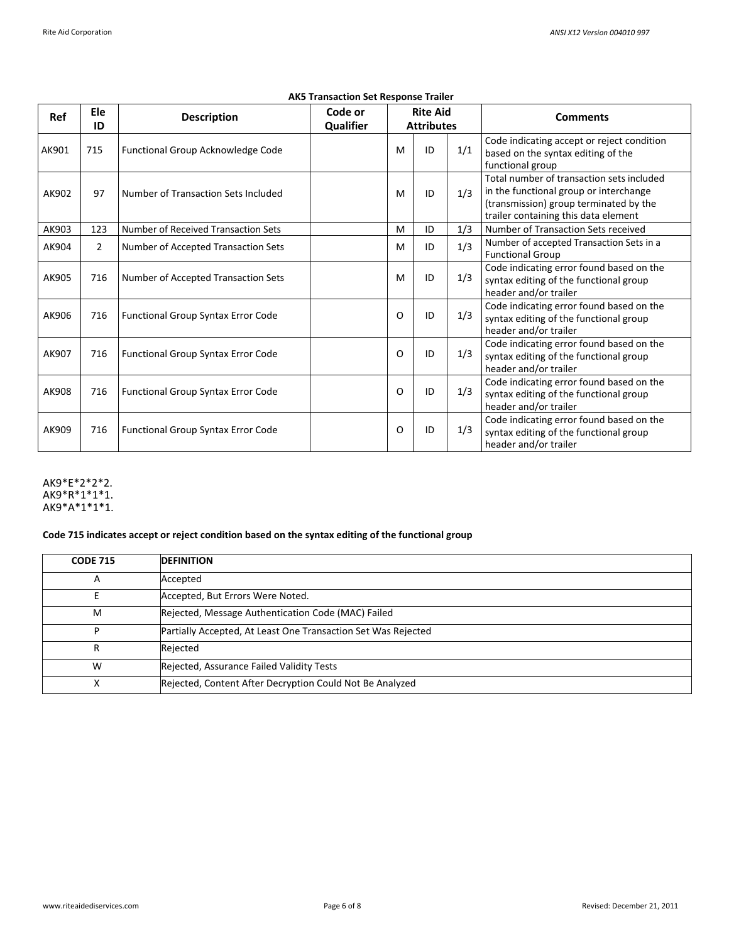| Ref   | Ele<br>ID      | <b>Description</b>                        | Code or<br>Qualifier | <b>Rite Aid</b><br><b>Attributes</b> |    |     | <b>Comments</b>                                                                                                                                                       |
|-------|----------------|-------------------------------------------|----------------------|--------------------------------------|----|-----|-----------------------------------------------------------------------------------------------------------------------------------------------------------------------|
| AK901 | 715            | Functional Group Acknowledge Code         |                      | M                                    | ID | 1/1 | Code indicating accept or reject condition<br>based on the syntax editing of the<br>functional group                                                                  |
| AK902 | 97             | Number of Transaction Sets Included       |                      | M                                    | ID | 1/3 | Total number of transaction sets included<br>in the functional group or interchange<br>(transmission) group terminated by the<br>trailer containing this data element |
| AK903 | 123            | Number of Received Transaction Sets       |                      | M                                    | ID | 1/3 | Number of Transaction Sets received                                                                                                                                   |
| AK904 | $\overline{2}$ | Number of Accepted Transaction Sets       |                      | M                                    | ID | 1/3 | Number of accepted Transaction Sets in a<br><b>Functional Group</b>                                                                                                   |
| AK905 | 716            | Number of Accepted Transaction Sets       |                      | M                                    | ID | 1/3 | Code indicating error found based on the<br>syntax editing of the functional group<br>header and/or trailer                                                           |
| AK906 | 716            | <b>Functional Group Syntax Error Code</b> |                      | O                                    | ID | 1/3 | Code indicating error found based on the<br>syntax editing of the functional group<br>header and/or trailer                                                           |
| AK907 | 716            | <b>Functional Group Syntax Error Code</b> |                      | O                                    | ID | 1/3 | Code indicating error found based on the<br>syntax editing of the functional group<br>header and/or trailer                                                           |
| AK908 | 716            | <b>Functional Group Syntax Error Code</b> |                      | O                                    | ID | 1/3 | Code indicating error found based on the<br>syntax editing of the functional group<br>header and/or trailer                                                           |
| AK909 | 716            | Functional Group Syntax Error Code        |                      | O                                    | ID | 1/3 | Code indicating error found based on the<br>syntax editing of the functional group<br>header and/or trailer                                                           |

# **AK5 Transaction Set Response Trailer**

AK9\*E\*2\*2\*2. AK9\*R\*1\*1\*1. AK9\*A\*1\*1\*1.

# **Code 715 indicates accept or reject condition based on the syntax editing of the functional group**

| <b>CODE 715</b> | <b>DEFINITION</b>                                             |
|-----------------|---------------------------------------------------------------|
| Α               | Accepted                                                      |
|                 | Accepted, But Errors Were Noted.                              |
| M               | Rejected, Message Authentication Code (MAC) Failed            |
| D               | Partially Accepted, At Least One Transaction Set Was Rejected |
| R               | Rejected                                                      |
| W               | Rejected, Assurance Failed Validity Tests                     |
| х               | Rejected, Content After Decryption Could Not Be Analyzed      |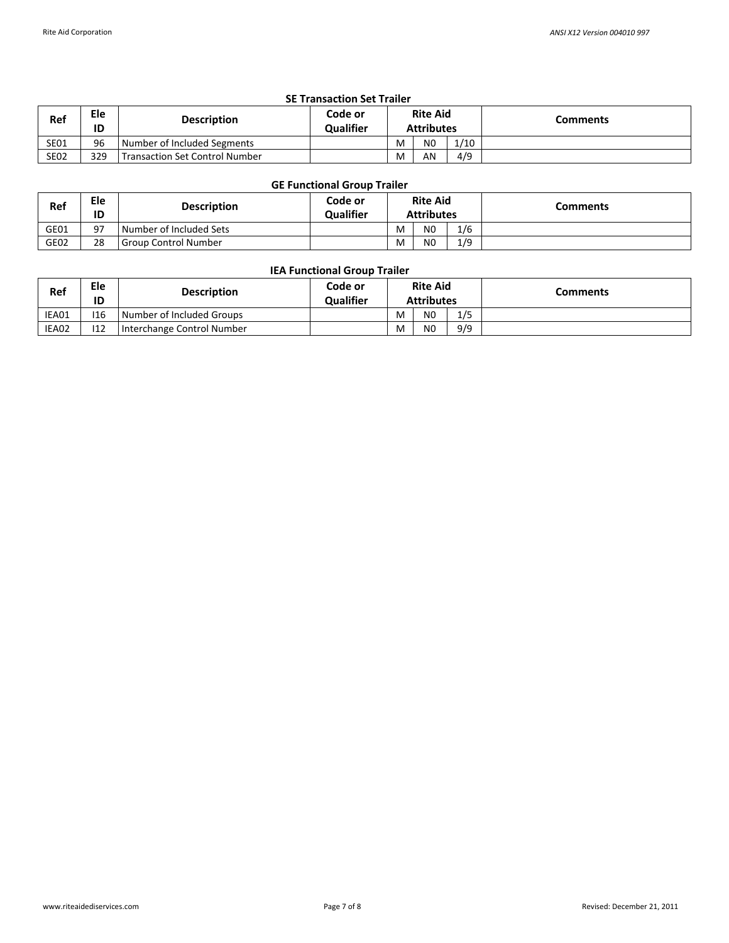| <b>SE Transaction Set Trailer</b> |           |                                       |                             |                                      |                |      |                 |  |  |
|-----------------------------------|-----------|---------------------------------------|-----------------------------|--------------------------------------|----------------|------|-----------------|--|--|
| Ref                               | Ele<br>ID | <b>Description</b>                    | Code or<br><b>Qualifier</b> | <b>Rite Aid</b><br><b>Attributes</b> |                |      | <b>Comments</b> |  |  |
| <b>SE01</b>                       | 96        | Number of Included Segments           |                             | M                                    | N <sub>0</sub> | 1/10 |                 |  |  |
| <b>SE02</b>                       | 329       | <b>Transaction Set Control Number</b> |                             | M                                    | AN             | 4/9  |                 |  |  |

# **GE Functional Group Trailer**

| Ref  | Ele<br>ID | <b>Description</b>      | Code or<br><b>Qualifier</b> | <b>Rite Aid</b><br><b>Attributes</b> |                |     | Comments |
|------|-----------|-------------------------|-----------------------------|--------------------------------------|----------------|-----|----------|
| GE01 | 97        | Number of Included Sets |                             | M                                    | N <sub>0</sub> | 1/6 |          |
| GE02 | 28        | I Group Control Number  |                             | M                                    | N <sub>0</sub> | 1/9 |          |

## **IEA Functional Group Trailer**

| Ref   | Ele<br>ID | <b>Description</b>         | Code or<br><b>Qualifier</b> | <b>Rite Aid</b><br><b>Attributes</b> |                |     | Comments |
|-------|-----------|----------------------------|-----------------------------|--------------------------------------|----------------|-----|----------|
| IEA01 | 116       | Number of Included Groups  |                             | M                                    | N <sub>0</sub> | 1/5 |          |
| IEA02 | 112       | Interchange Control Number |                             | M                                    | N <sub>0</sub> | 9/9 |          |